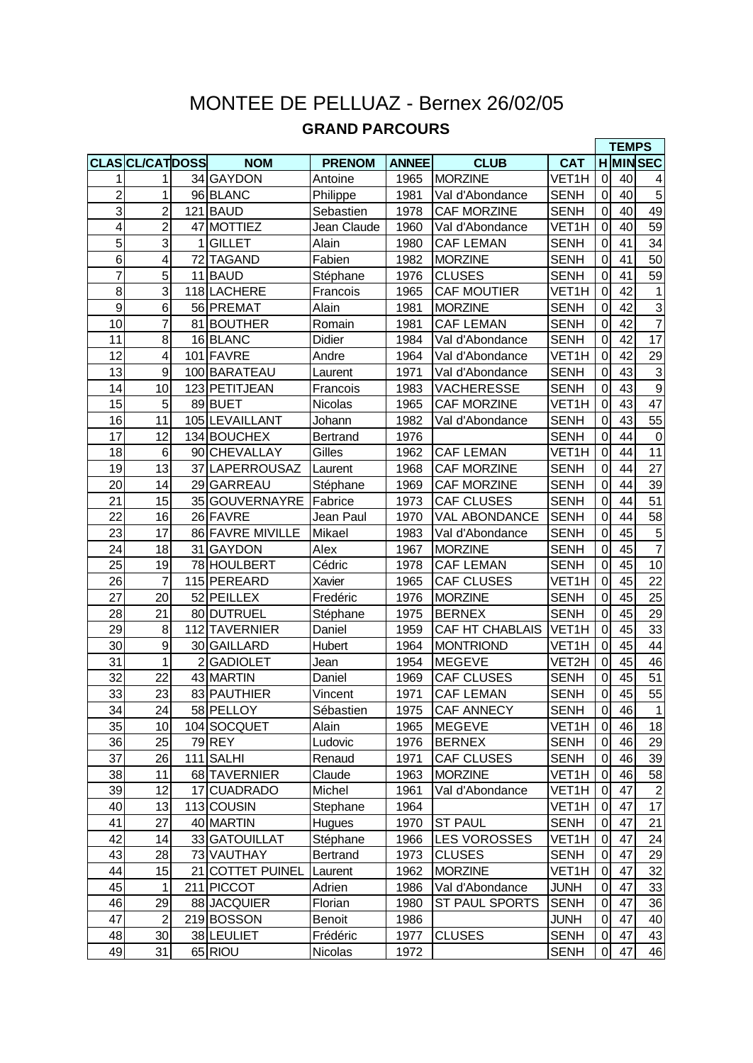## MONTEE DE PELLUAZ - Bernex 26/02/05 **GRAND PARCOURS**

|                |                         |                |                  |                 |              |                       |                    |                | <b>TEMPS</b> |                 |
|----------------|-------------------------|----------------|------------------|-----------------|--------------|-----------------------|--------------------|----------------|--------------|-----------------|
|                | <b>CLASCL/CATDOSS</b>   |                | <b>NOM</b>       | <b>PRENOM</b>   | <b>ANNEE</b> | <b>CLUB</b>           | <b>CAT</b>         |                |              | <b>H</b> MINSEC |
| 1              | 1                       |                | 34 GAYDON        | Antoine         | 1965         | <b>MORZINE</b>        | VET <sub>1</sub> H | $\mathbf 0$    | 40           | 4               |
| $\overline{2}$ | 1                       |                | 96 BLANC         | Philippe        | 1981         | Val d'Abondance       | <b>SENH</b>        | 0              | 40           | $\overline{5}$  |
| 3              | $\overline{2}$          |                | 121 BAUD         | Sebastien       | 1978         | <b>CAF MORZINE</b>    | <b>SENH</b>        | 0              | 40           | 49              |
| $\overline{4}$ | $\overline{2}$          |                | 47 MOTTIEZ       | Jean Claude     | 1960         | Val d'Abondance       | VET1H              | 0              | 40           | $\overline{59}$ |
| $\overline{5}$ | 3                       | 1              | <b>GILLET</b>    | Alain           | 1980         | <b>CAF LEMAN</b>      | <b>SENH</b>        | 0              | 41           | 34              |
| $\overline{6}$ | $\overline{\mathbf{4}}$ |                | 72 TAGAND        | Fabien          | 1982         | <b>MORZINE</b>        | <b>SENH</b>        | $\mathbf 0$    | 41           | 50              |
| $\overline{7}$ | 5                       |                | 11 BAUD          | Stéphane        | 1976         | <b>CLUSES</b>         | <b>SENH</b>        | $\mathbf 0$    | 41           | 59              |
| 8              | 3                       |                | 118 LACHERE      | Francois        | 1965         | <b>CAF MOUTIER</b>    | VET1H              | $\mathbf 0$    | 42           | $\mathbf{1}$    |
| 9              | 6                       |                | 56 PREMAT        | Alain           | 1981         | <b>MORZINE</b>        | <b>SENH</b>        | 0              | 42           | $\overline{3}$  |
| 10             | $\overline{7}$          |                | 81 BOUTHER       | Romain          | 1981         | <b>CAF LEMAN</b>      | <b>SENH</b>        | 0              | 42           | $\overline{7}$  |
| 11             | 8                       |                | 16 BLANC         | Didier          | 1984         | Val d'Abondance       | <b>SENH</b>        | 0              | 42           | 17              |
| 12             | 4                       |                | 101 FAVRE        | Andre           | 1964         | Val d'Abondance       | VET1H              | 0              | 42           | 29              |
| 13             | 9                       |                | 100 BARATEAU     | Laurent         | 1971         | Val d'Abondance       | <b>SENH</b>        | $\mathbf 0$    | 43           | $\overline{3}$  |
| 14             | 10                      |                | 123 PETITJEAN    | Francois        | 1983         | <b>VACHERESSE</b>     | <b>SENH</b>        | $\mathbf 0$    | 43           | $\overline{9}$  |
| 15             | 5                       |                | 89 BUET          | Nicolas         | 1965         | CAF MORZINE           | VET1H              | $\pmb{0}$      | 43           | 47              |
| 16             | 11                      |                | 105 LEVAILLANT   | Johann          | 1982         | Val d'Abondance       | <b>SENH</b>        | $\mathbf 0$    | 43           | 55              |
| 17             | 12                      |                | 134 BOUCHEX      | <b>Bertrand</b> | 1976         |                       | <b>SENH</b>        | $\mathbf 0$    | 44           | $\mathbf 0$     |
| 18             | 6                       |                | 90 CHEVALLAY     | Gilles          | 1962         | <b>CAF LEMAN</b>      | VET1H              | $\mathbf 0$    | 44           | 11              |
| 19             | 13                      |                | 37 LAPERROUSAZ   | Laurent         | 1968         | <b>CAF MORZINE</b>    | <b>SENH</b>        | 0              | 44           | 27              |
| 20             | 14                      |                | 29 GARREAU       | Stéphane        | 1969         | CAF MORZINE           | <b>SENH</b>        | 0              | 44           | 39              |
| 21             | 15                      |                | 35 GOUVERNAYRE   | Fabrice         | 1973         | <b>CAF CLUSES</b>     | <b>SENH</b>        | $\Omega$       | 44           | 51              |
| 22             | 16                      |                | 26 FAVRE         | Jean Paul       | 1970         | <b>VAL ABONDANCE</b>  | <b>SENH</b>        | $\mathbf 0$    | 44           | 58              |
| 23             | 17                      |                | 86 FAVRE MIVILLE | Mikael          | 1983         | Val d'Abondance       | <b>SENH</b>        | $\mathbf 0$    | 45           | $\overline{5}$  |
| 24             | 18                      |                | 31 GAYDON        | Alex            | 1967         | <b>MORZINE</b>        | <b>SENH</b>        | $\mathbf 0$    | 45           | $\overline{7}$  |
| 25             | 19                      |                | 78 HOULBERT      | Cédric          | 1978         | <b>CAF LEMAN</b>      | <b>SENH</b>        | 0              | 45           | 10              |
| 26             | $\overline{7}$          |                | 115 PEREARD      | Xavier          | 1965         | <b>CAF CLUSES</b>     | VET1H              | $\mathbf 0$    | 45           | 22              |
| 27             | 20                      |                | 52 PEILLEX       | Fredéric        | 1976         | <b>MORZINE</b>        | <b>SENH</b>        | 0              | 45           | 25              |
| 28             | 21                      |                | 80 DUTRUEL       | Stéphane        | 1975         | <b>BERNEX</b>         | <b>SENH</b>        | 0              | 45           | 29              |
| 29             | 8                       |                | 112 TAVERNIER    | Daniel          | 1959         | CAF HT CHABLAIS       | VET <sub>1</sub> H | $\mathbf 0$    | 45           | 33              |
| 30             | $\boldsymbol{9}$        |                | 30 GAILLARD      | Hubert          | 1964         | <b>MONTRIOND</b>      | VET <sub>1</sub> H | $\mathbf 0$    | 45           | 44              |
| 31             | $\mathbf{1}$            | $\overline{2}$ | <b>GADIOLET</b>  | Jean            | 1954         | <b>MEGEVE</b>         | VET2H              | $\pmb{0}$      | 45           | 46              |
| 32             | 22                      |                | 43 MARTIN        | Daniel          | 1969         | <b>CAF CLUSES</b>     | <b>SENH</b>        | $\mathbf 0$    | 45           | 51              |
| 33             | 23                      |                | 83 PAUTHIER      | Vincent         | 1971         | <b>CAF LEMAN</b>      | <b>SENH</b>        | $\mathbf 0$    | 45           | 55              |
| 34             | 24                      |                | 58 PELLOY        | Sébastien       | 1975         | <b>CAF ANNECY</b>     | <b>SENH</b>        | υı             | 46           | 1               |
| 35             | 10                      |                | 104 SOCQUET      | Alain           | 1965         | <b>MEGEVE</b>         | VET1H              | $\overline{0}$ | 46           | 18              |
| 36             | 25                      |                | 79 REY           | Ludovic         | 1976         | <b>BERNEX</b>         | <b>SENH</b>        | 0              | 46           | 29              |
| 37             | 26                      |                | 111 SALHI        | Renaud          | 1971         | CAF CLUSES            | <b>SENH</b>        | $\overline{0}$ | 46           | 39              |
| 38             | 11                      |                | 68 TAVERNIER     | Claude          | 1963         | <b>MORZINE</b>        | VET1H              | $\mathbf 0$    | 46           | 58              |
| 39             | 12                      |                | 17 CUADRADO      | Michel          | 1961         | Val d'Abondance       | VET1H              | $\mathbf 0$    | 47           | $\sqrt{2}$      |
| 40             | 13                      |                | 113 COUSIN       | Stephane        | 1964         |                       | VET1H              | $\mathbf 0$    | 47           | 17              |
| 41             | 27                      |                | 40 MARTIN        | Hugues          | 1970         | <b>ST PAUL</b>        | <b>SENH</b>        | 0              | 47           | 21              |
| 42             | 14                      |                | 33 GATOUILLAT    | Stéphane        | 1966         | <b>LES VOROSSES</b>   | VET1H              | 0              | 47           | 24              |
| 43             | 28                      |                | 73 VAUTHAY       | Bertrand        | 1973         | <b>CLUSES</b>         | <b>SENH</b>        | 0              | 47           | 29              |
| 44             | 15                      |                | 21 COTTET PUINEL | Laurent         | 1962         | <b>MORZINE</b>        | VET1H              | $\mathbf 0$    | 47           | 32              |
| 45             | $\mathbf{1}$            |                | 211 PICCOT       | Adrien          | 1986         | Val d'Abondance       | <b>JUNH</b>        | $\overline{0}$ | 47           | 33              |
| 46             | 29                      |                | 88 JACQUIER      | Florian         | 1980         | <b>ST PAUL SPORTS</b> | <b>SENH</b>        | $\mathbf 0$    | 47           | 36              |
| 47             | $\overline{2}$          |                | 219BOSSON        | Benoit          | 1986         |                       | <b>JUNH</b>        | $\pmb{0}$      | 47           | 40              |
| 48             | 30                      |                | 38 LEULIET       | Frédéric        | 1977         | <b>CLUSES</b>         | <b>SENH</b>        | 0              | 47           | 43              |
| 49             | 31                      |                | 65 RIOU          | Nicolas         | 1972         |                       | <b>SENH</b>        | $\overline{0}$ | 47           | 46              |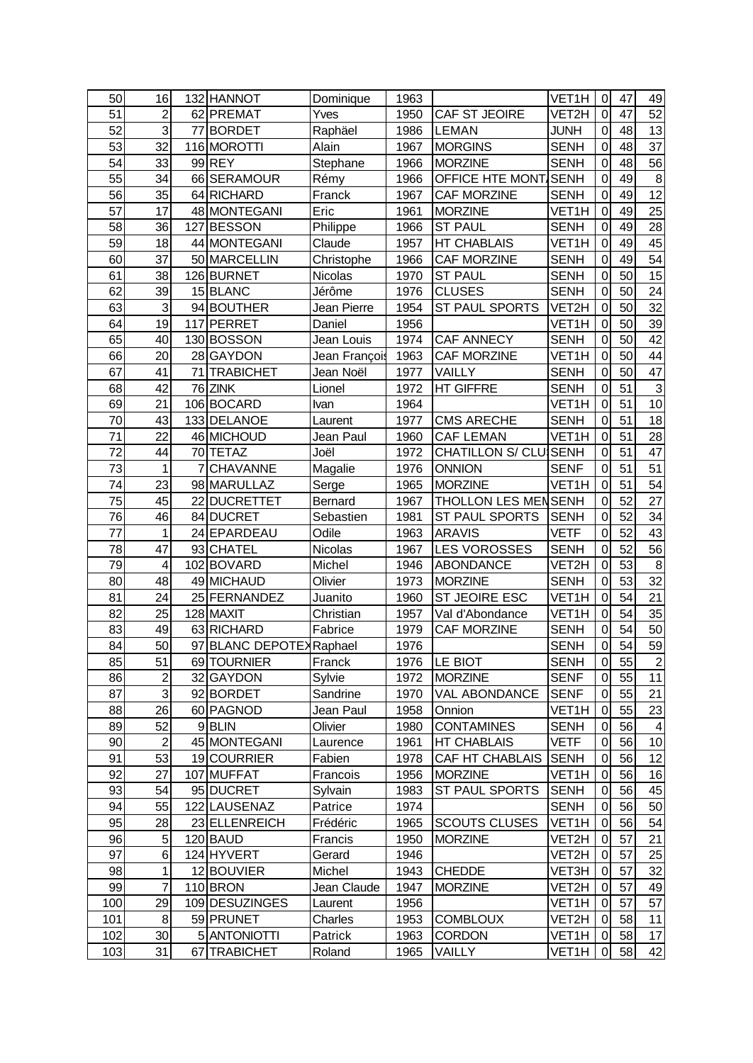| 50  | 16                      |   | 132 HANNOT               | Dominique     | 1963 |                            | VET1H              | $\mathbf 0$    | 47 | 49              |
|-----|-------------------------|---|--------------------------|---------------|------|----------------------------|--------------------|----------------|----|-----------------|
| 51  | $\overline{c}$          |   | 62 PREMAT                | Yves          | 1950 | CAF ST JEOIRE              | VET2H              | $\mathbf 0$    | 47 | 52              |
| 52  | 3                       |   | 77 BORDET                | Raphäel       | 1986 | <b>LEMAN</b>               | <b>JUNH</b>        | $\mathbf 0$    | 48 | 13              |
| 53  | 32                      |   | 116 MOROTTI              | Alain         | 1967 | <b>MORGINS</b>             | <b>SENH</b>        | $\mathbf 0$    | 48 | $\overline{37}$ |
| 54  | 33                      |   | 99 REY                   | Stephane      | 1966 | <b>MORZINE</b>             | <b>SENH</b>        | $\mathbf 0$    | 48 | 56              |
| 55  | 34                      |   | 66 SERAMOUR              | Rémy          | 1966 | OFFICE HTE MONT SENH       |                    | $\mathbf 0$    | 49 | 8               |
| 56  | 35                      |   | 64 RICHARD               | Franck        | 1967 | CAF MORZINE                | <b>SENH</b>        | $\mathbf 0$    | 49 | $\overline{12}$ |
| 57  | 17                      |   | 48 MONTEGANI             | Eric          | 1961 | <b>MORZINE</b>             | VET1H              | $\mathbf 0$    | 49 | $\overline{25}$ |
| 58  | 36                      |   | 127 BESSON               | Philippe      | 1966 | <b>ST PAUL</b>             | <b>SENH</b>        | 0              | 49 | 28              |
| 59  | 18                      |   | 44 MONTEGANI             | Claude        | 1957 | <b>HT CHABLAIS</b>         | VET1H              | $\mathbf 0$    | 49 | 45              |
| 60  | 37                      |   | 50 MARCELLIN             | Christophe    | 1966 | CAF MORZINE                | <b>SENH</b>        | 0              | 49 | 54              |
| 61  | 38                      |   | 126 BURNET               | Nicolas       | 1970 | <b>ST PAUL</b>             | <b>SENH</b>        | $\pmb{0}$      | 50 | 15              |
| 62  | 39                      |   | 15 BLANC                 | Jérôme        | 1976 | <b>CLUSES</b>              | <b>SENH</b>        | $\mathbf 0$    | 50 | 24              |
| 63  | 3                       |   | 94 BOUTHER               | Jean Pierre   | 1954 | ST PAUL SPORTS             | VET2H              | $\mathbf 0$    | 50 | 32              |
| 64  | 19                      |   | 117 PERRET               | Daniel        | 1956 |                            | VET1H              | $\mathbf 0$    | 50 | 39              |
| 65  | 40                      |   | 130 BOSSON               | Jean Louis    | 1974 | <b>CAF ANNECY</b>          | <b>SENH</b>        | 0              | 50 | 42              |
| 66  | 20                      |   | 28 GAYDON                | Jean François | 1963 | <b>CAF MORZINE</b>         | VET1H              | $\mathbf 0$    | 50 | 44              |
| 67  | 41                      |   | 71 TRABICHET             | Jean Noël     | 1977 | <b>VAILLY</b>              | <b>SENH</b>        | 0              | 50 | 47              |
| 68  | 42                      |   | 76 ZINK                  | Lionel        | 1972 | <b>HT GIFFRE</b>           | <b>SENH</b>        | $\mathbf 0$    | 51 | $\mathbf{3}$    |
| 69  | 21                      |   | 106BOCARD                | Ivan          | 1964 |                            | VET1H              | $\mathbf 0$    | 51 | 10              |
| 70  | 43                      |   | 133 DELANOE              | Laurent       | 1977 | <b>CMS ARECHE</b>          | <b>SENH</b>        | $\mathbf 0$    | 51 | 18              |
| 71  | 22                      |   | 46 MICHOUD               | Jean Paul     | 1960 | <b>CAF LEMAN</b>           | VET <sub>1</sub> H | $\mathbf 0$    | 51 | 28              |
| 72  | 44                      |   | 70 TETAZ                 | Joël          | 1972 | CHATILLON S/ CLU SENH      |                    | 0              | 51 | 47              |
| 73  | 1                       | 7 | <b>CHAVANNE</b>          | Magalie       | 1976 | <b>ONNION</b>              | <b>SENF</b>        | $\mathbf 0$    | 51 | $\overline{51}$ |
| 74  | 23                      |   | 98 MARULLAZ              | Serge         | 1965 | <b>MORZINE</b>             | VET1H              | $\mathbf 0$    | 51 | 54              |
| 75  | 45                      |   | 22 DUCRETTET             | Bernard       | 1967 | <b>THOLLON LES MENSENH</b> |                    | 0              | 52 | 27              |
| 76  | 46                      |   | 84 DUCRET                | Sebastien     | 1981 | ST PAUL SPORTS             | <b>SENH</b>        | $\mathbf 0$    | 52 | 34              |
| 77  | 1                       |   | 24 EPARDEAU              | Odile         | 1963 | <b>ARAVIS</b>              | <b>VETF</b>        | $\mathbf 0$    | 52 | 43              |
| 78  | 47                      |   | 93 CHATEL                | Nicolas       | 1967 | <b>LES VOROSSES</b>        | <b>SENH</b>        | $\mathbf 0$    | 52 | 56              |
| 79  | $\overline{\mathbf{4}}$ |   | 102 BOVARD               | Michel        | 1946 | <b>ABONDANCE</b>           | VET2H              | $\mathbf 0$    | 53 | $\, 8$          |
| 80  | 48                      |   | 49 MICHAUD               | Olivier       | 1973 | <b>MORZINE</b>             | <b>SENH</b>        | $\mathbf 0$    | 53 | 32              |
| 81  | 24                      |   | 25 FERNANDEZ             | Juanito       | 1960 | ST JEOIRE ESC              | VET1H              | $\mathbf 0$    | 54 | 21              |
| 82  | 25                      |   | 128 MAXIT                | Christian     | 1957 | Val d'Abondance            | VET1H              | $\mathbf 0$    | 54 | 35              |
| 83  | 49                      |   | 63 RICHARD               | Fabrice       | 1979 | <b>CAF MORZINE</b>         | <b>SENH</b>        | 0              | 54 | 50              |
| 84  | 50                      |   | 97 BLANC DEPOTEX Raphael |               | 1976 |                            | <b>SENH</b>        | $\mathbf 0$    | 54 | 59              |
| 85  | 51                      |   | 69 TOURNIER              | Franck        | 1976 | LE BIOT                    | <b>SENH</b>        | 0              | 55 | $\overline{2}$  |
| 86  | $\overline{2}$          |   | 32 GAYDON                | Sylvie        | 1972 | <b>MORZINE</b>             | <b>SENF</b>        | $\mathbf 0$    | 55 | 11              |
| 87  | 3                       |   | 92 BORDET                | Sandrine      | 1970 | <b>VAL ABONDANCE</b>       | <b>SENF</b>        | $\mathbf 0$    | 55 | 21              |
| 88  | 26                      |   | 60 PAGNOD                | Jean Paul     | 1958 | Onnion                     | VET1H              | $\mathbf 0$    | 55 | 23              |
| 89  | 52                      |   | 9 <b>BLIN</b>            | Olivier       | 1980 | <b>CONTAMINES</b>          | <b>SENH</b>        | 0              | 56 |                 |
| 90  | $\overline{2}$          |   | 45 MONTEGANI             | Laurence      | 1961 | <b>HT CHABLAIS</b>         | <b>VETF</b>        | 0              | 56 | 10              |
| 91  | 53                      |   | 19 COURRIER              | Fabien        | 1978 | CAF HT CHABLAIS            | <b>SENH</b>        | 0              | 56 | 12              |
| 92  | 27                      |   | 107 MUFFAT               | Francois      | 1956 | <b>MORZINE</b>             | VET1H              | $\mathbf 0$    | 56 | 16              |
| 93  | 54                      |   | 95 DUCRET                | Sylvain       | 1983 | ST PAUL SPORTS             | <b>SENH</b>        | $\mathbf 0$    | 56 | 45              |
| 94  | 55                      |   | 122 LAUSENAZ             | Patrice       | 1974 |                            | <b>SENH</b>        | 0              | 56 | 50              |
| 95  | 28                      |   | 23 ELLENREICH            | Frédéric      | 1965 | <b>SCOUTS CLUSES</b>       | VET <sub>1</sub> H | 0              | 56 | 54              |
| 96  | 5                       |   | 120 BAUD                 | Francis       | 1950 | <b>MORZINE</b>             | VET2H              | 0              | 57 | 21              |
| 97  | 6                       |   | 124 HYVERT               | Gerard        | 1946 |                            | VET2H              | 0              | 57 | 25              |
| 98  | 1                       |   | 12BOUVIER                | Michel        | 1943 | <b>CHEDDE</b>              | VET3H              | 0              | 57 | 32              |
| 99  | 7                       |   | 110 BRON                 | Jean Claude   | 1947 | <b>MORZINE</b>             | VET2H              | $\mathbf 0$    | 57 | 49              |
| 100 | 29                      |   | 109 DESUZINGES           | Laurent       | 1956 |                            | VET1H              | $\mathbf 0$    | 57 | 57              |
| 101 | $\,8\,$                 |   | 59 PRUNET                | Charles       | 1953 | <b>COMBLOUX</b>            | VET2H              | $\mathbf 0$    | 58 | 11              |
| 102 | 30                      |   | 5 ANTONIOTTI             | Patrick       | 1963 | <b>CORDON</b>              | VET1H              | 0              | 58 | 17              |
| 103 | 31                      |   | 67 TRABICHET             | Roland        | 1965 | <b>VAILLY</b>              | VET1H              | $\overline{0}$ | 58 | 42              |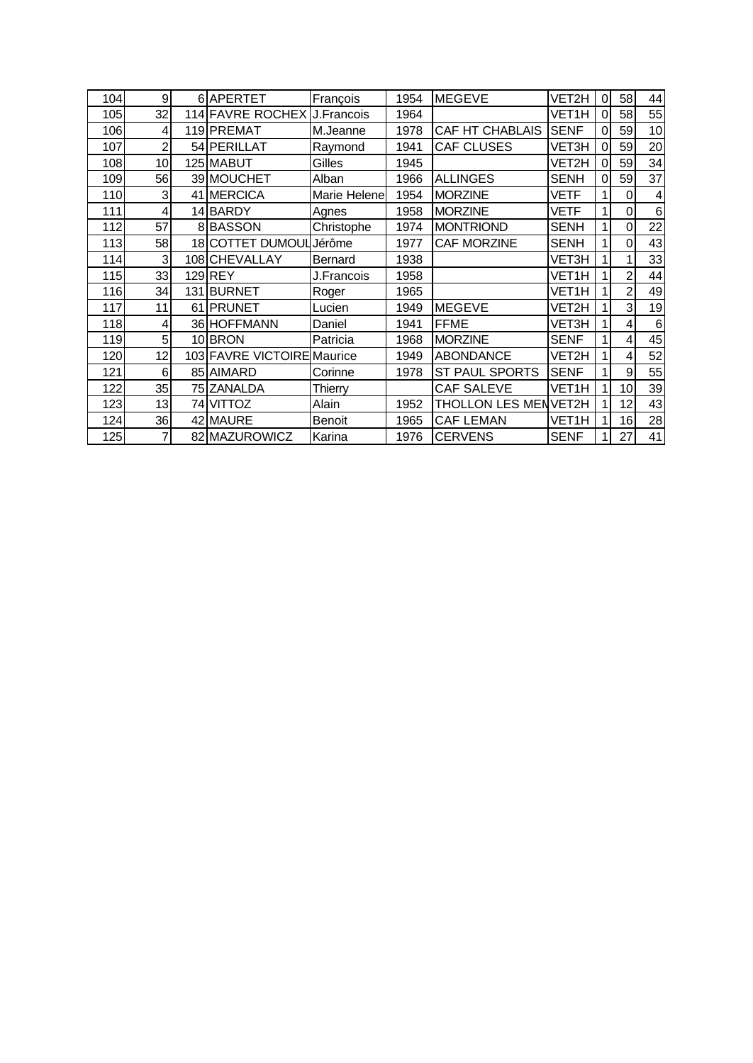| 104 | 9               | 6APERTET                     | François      | 1954 | <b>MEGEVE</b>               | VET2H       | $\Omega$ | 58             | 44              |
|-----|-----------------|------------------------------|---------------|------|-----------------------------|-------------|----------|----------------|-----------------|
| 105 | 32              | 114 FAVRE ROCHEX J. Francois |               | 1964 |                             | VET1H       | ΩI       | 58             | 55              |
| 106 | 4               | 119 PREMAT                   | M.Jeanne      | 1978 | CAF HT CHABLAIS             | <b>SENF</b> | 0        | 59             | 10              |
| 107 | $\overline{2}$  | 54 PERILLAT                  | Raymond       | 1941 | <b>CAF CLUSES</b>           | VET3H       | ΩI       | 59             | 20              |
| 108 | 10 <sub>1</sub> | 125 MABUT                    | Gilles        | 1945 |                             | VET2H       | ΩI       | 59             | 34              |
| 109 | 56              | 39 MOUCHET                   | Alban         | 1966 | <b>ALLINGES</b>             | <b>SENH</b> | $\Omega$ | 59             | 37              |
| 110 | 3               | 41 MERCICA                   | Marie Helene  | 1954 | <b>MORZINE</b>              | <b>VETF</b> |          | 0              | $\overline{4}$  |
| 111 | 4               | 14 BARDY                     | Agnes         | 1958 | <b>MORZINE</b>              | VETF        |          | 0              | 6               |
| 112 | 57              | 8BASSON                      | Christophe    | 1974 | <b>MONTRIOND</b>            | <b>SENH</b> |          | 0              | 22              |
| 113 | 58              | 18 COTTET DUMOUL             | Jérôme        | 1977 | <b>CAF MORZINE</b>          | <b>SENH</b> |          | 0              | 43              |
| 114 | 3               | 108 CHEVALLAY                | Bernard       | 1938 |                             | VET3H       |          | 1              | 33              |
| 115 | 33              | 129 REY                      | J.Francois    | 1958 |                             | VET1H       |          | $\overline{2}$ | 44              |
| 116 | 34              | 131 BURNET                   | Roger         | 1965 |                             | VET1H       |          | $\overline{2}$ | 49              |
| 117 | 11              | 61 PRUNET                    | Lucien        | 1949 | <b>MEGEVE</b>               | VET2H       |          | 3              | 19              |
| 118 | 4               | 36 HOFFMANN                  | Daniel        | 1941 | <b>FFME</b>                 | VET3H       |          | 4              | $6\phantom{1}6$ |
| 119 | 5               | 10 BRON                      | Patricia      | 1968 | <b>MORZINE</b>              | <b>SENF</b> |          | 4              | 45              |
| 120 | 12              | 103 FAVRE VICTOIRE Maurice   |               | 1949 | <b>ABONDANCE</b>            | VET2H       |          | $\overline{4}$ | 52              |
| 121 | 6               | 85 AIMARD                    | Corinne       | 1978 | <b>ST PAUL SPORTS</b>       | <b>SENF</b> |          | 9              | 55              |
| 122 | 35              | 75 ZANALDA                   | Thierry       |      | <b>CAF SALEVE</b>           | VET1H       |          | 10             | 39              |
| 123 | 13              | 74 VITTOZ                    | Alain         | 1952 | <b>THOLLON LES MENVET2H</b> |             |          | 12             | 43              |
| 124 | 36              | 42 MAURE                     | <b>Benoit</b> | 1965 | <b>CAF LEMAN</b>            | VET1H       |          | 16             | 28              |
| 125 | 7               | 82 MAZUROWICZ                | Karina        | 1976 | <b>CERVENS</b>              | <b>SENF</b> |          | 27             | 41              |